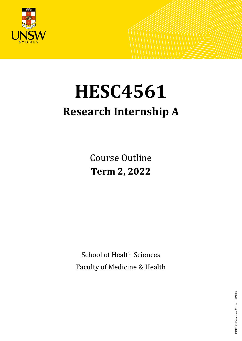

# **HESC4561 Research Internship A**

Course Outline **Term 2, 2022**

School of Health Sciences Faculty of Medicine & Health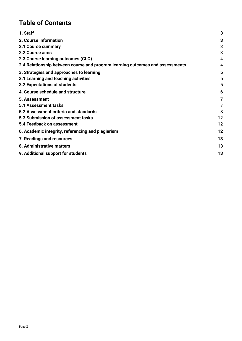# **Table of Contents**

| 1. Staff                                                                      | 3  |
|-------------------------------------------------------------------------------|----|
| 2. Course information                                                         | 3  |
| 2.1 Course summary                                                            | 3  |
| 2.2 Course aims                                                               | 3  |
| 2.3 Course learning outcomes (CLO)                                            | 4  |
| 2.4 Relationship between course and program learning outcomes and assessments | 4  |
| 3. Strategies and approaches to learning                                      | 5  |
| 3.1 Learning and teaching activities                                          | 5  |
| 3.2 Expectations of students                                                  | 5  |
| 4. Course schedule and structure                                              | 6  |
| 5. Assessment                                                                 | 7  |
| 5.1 Assessment tasks                                                          | 7  |
| 5.2 Assessment criteria and standards                                         | 8  |
| 5.3 Submission of assessment tasks                                            | 12 |
| 5.4 Feedback on assessment                                                    | 12 |
| 6. Academic integrity, referencing and plagiarism                             | 12 |
| 7. Readings and resources                                                     | 13 |
| 8. Administrative matters                                                     | 13 |
| 9. Additional support for students                                            | 13 |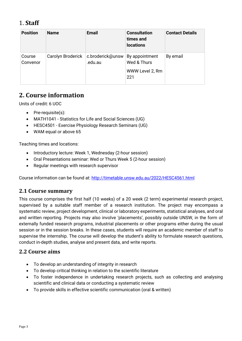# <span id="page-2-0"></span>1. **Staff**

| <b>Position</b>    | <b>Name</b>       | <b>Email</b>                | <b>Consultation</b><br>times and<br><b>locations</b>    | <b>Contact Details</b> |
|--------------------|-------------------|-----------------------------|---------------------------------------------------------|------------------------|
| Course<br>Convenor | Carolyn Broderick | c.broderick@unsw<br>.edu.au | By appointment<br>Wed & Thurs<br>WWW Level 2, Rm<br>221 | By email               |

# <span id="page-2-1"></span>**2. Course information**

Units of credit: 6 UOC

- Pre-requisite(s):
- MATH1041 Statistics for Life and Social Sciences (UG)
- HESC4501 Exercise Physiology Research Seminars (UG)
- WAM equal or above 65

Teaching times and locations:

- Introductory lecture: Week 1, Wednesday (2-hour session)
- Oral Presentations seminar: Wed or Thurs Week 5 (2-hour session)
- Regular meetings with research supervisor

Course information can be found at:<http://timetable.unsw.edu.au/2022/HESC4561.html>

### <span id="page-2-2"></span>**2.1 Course summary**

This course comprises the first half (10 weeks) of a 20 week (2 term) experimental research project, supervised by a suitable staff member of a research institution. The project may encompass a systematic review, project development, clinical or laboratory experiments, statistical analyses, and oral and written reporting. Projects may also involve 'placements', possibly outside UNSW, in the form of externally funded research programs, industrial placements or other programs either during the usual session or in the session breaks. In these cases, students will require an academic member of staff to supervise the internship. The course will develop the student's ability to formulate research questions, conduct in-depth studies, analyse and present data, and write reports.

## <span id="page-2-3"></span>**2.2 Course aims**

- To develop an understanding of integrity in research
- To develop critical thinking in relation to the scientific literature
- To foster independence in undertaking research projects, such as collecting and analysing scientific and clinical data or conducting a systematic review
- To provide skills in effective scientific communication (oral & written)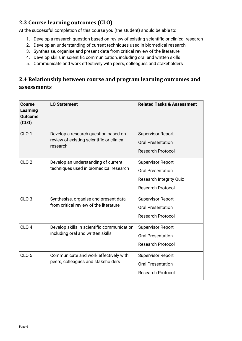## <span id="page-3-0"></span>**2.3 Course learning outcomes (CLO)**

At the successful completion of this course you (the student) should be able to:

- 1. Develop a research question based on review of existing scientific or clinical research
- 2. Develop an understanding of current techniques used in biomedical research
- 3. Synthesise, organise and present data from critical review of the literature
- 4. Develop skills in scientific communication, including oral and written skills
- 5. Communicate and work effectively with peers, colleagues and stakeholders

## <span id="page-3-1"></span>**2.4 Relationship between course and program learning outcomes and assessments**

| Course<br>Learning<br><b>Outcome</b><br>(CLO) | <b>LO Statement</b>                                                                           | <b>Related Tasks &amp; Assessment</b>                                                                              |
|-----------------------------------------------|-----------------------------------------------------------------------------------------------|--------------------------------------------------------------------------------------------------------------------|
| CLO <sub>1</sub>                              | Develop a research question based on<br>review of existing scientific or clinical<br>research | <b>Supervisor Report</b><br><b>Oral Presentation</b><br><b>Research Protocol</b>                                   |
| CLO <sub>2</sub>                              | Develop an understanding of current<br>techniques used in biomedical research                 | <b>Supervisor Report</b><br><b>Oral Presentation</b><br><b>Research Integrity Quiz</b><br><b>Research Protocol</b> |
| CLO <sub>3</sub>                              | Synthesise, organise and present data<br>from critical review of the literature               | <b>Supervisor Report</b><br><b>Oral Presentation</b><br><b>Research Protocol</b>                                   |
| CLO <sub>4</sub>                              | Develop skills in scientific communication,<br>including oral and written skills              | <b>Supervisor Report</b><br><b>Oral Presentation</b><br><b>Research Protocol</b>                                   |
| CLO <sub>5</sub>                              | Communicate and work effectively with<br>peers, colleagues and stakeholders                   | <b>Supervisor Report</b><br><b>Oral Presentation</b><br><b>Research Protocol</b>                                   |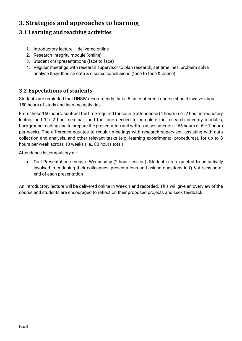# <span id="page-4-0"></span>**3. Strategies and approaches to learning**

## <span id="page-4-1"></span>**3.1 Learning and teaching activities**

- 1. Introductory lecture delivered online
- 2. Research Integrity module (online)
- 3. Student oral presentations (face to face)
- 4. Regular meetings with research supervisor to plan research, set timelines, problem solve, analyse & synthesise data & discuss conclusions (face to face & online)

## <span id="page-4-2"></span>**3.2 Expectations of students**

Students are reminded that UNSW recommends that a 6 units-of-credit course should involve about 150 hours of study and learning activities.

From these 150 hours, subtract the time required for course attendance (4 hours - i.e., 2 hour introductory lecture and 1 x 2 hour seminar) and the time needed to complete the research integrity modules, background reading and to prepare the presentation and written assessments ( $\sim$  66 hours or 6 – 7 hours per week). The difference equates to regular meetings with research supervisor, assisting with data collection and analysis, and other relevant tasks (e.g. learning experimental procedures), for up to 8 hours per week across 10 weeks (i.e., 80 hours total).

Attendance is compulsory at:

• Oral Presentation seminar: Wednesday (2-hour session). Students are expected to be actively involved in critiquing their colleagues' presentations and asking questions in Q & A session at end of each presentation

An introductory lecture will be delivered online in Week 1 and recorded. This will give an overview of the course and students are encouraged to reflect on their proposed projects and seek feedback.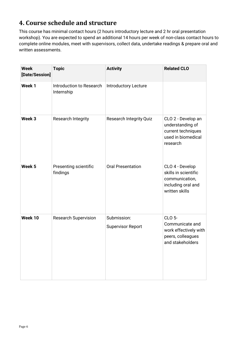# <span id="page-5-0"></span>**4. Course schedule and structure**

This course has minimal contact hours (2 hours introductory lecture and 2 hr oral presentation workshop). You are expected to spend an additional 14 hours per week of non-class contact hours to complete online modules, meet with supervisors, collect data, undertake readings & prepare oral and written assessments.

| <b>Week</b><br>[Date/Session] | <b>Topic</b>                           | <b>Activity</b>                         | <b>Related CLO</b>                                                                                 |
|-------------------------------|----------------------------------------|-----------------------------------------|----------------------------------------------------------------------------------------------------|
| Week 1                        | Introduction to Research<br>Internship | <b>Introductory Lecture</b>             |                                                                                                    |
| Week <sub>3</sub>             | <b>Research Integrity</b>              | <b>Research Integrity Quiz</b>          | CLO 2 - Develop an<br>understanding of<br>current techniques<br>used in biomedical<br>research     |
| Week <sub>5</sub>             | Presenting scientific<br>findings      | <b>Oral Presentation</b>                | CLO 4 - Develop<br>skills in scientific<br>communication,<br>including oral and<br>written skills  |
| Week 10                       | <b>Research Supervision</b>            | Submission:<br><b>Supervisor Report</b> | <b>CLO 5-</b><br>Communicate and<br>work effectively with<br>peers, colleagues<br>and stakeholders |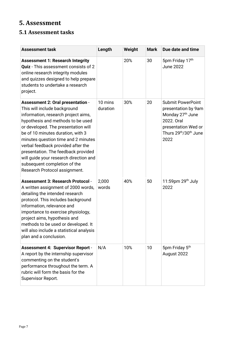# <span id="page-6-0"></span>**5. Assessment**

## <span id="page-6-1"></span>**5.1 Assessment tasks**

| <b>Assessment task</b>                                                                                                                                                                                                                                                                                                                                                                                                                                          | Length              | Weight | <b>Mark</b> | Due date and time                                                                                                                                    |
|-----------------------------------------------------------------------------------------------------------------------------------------------------------------------------------------------------------------------------------------------------------------------------------------------------------------------------------------------------------------------------------------------------------------------------------------------------------------|---------------------|--------|-------------|------------------------------------------------------------------------------------------------------------------------------------------------------|
| <b>Assessment 1: Research Integrity</b><br><b>Quiz</b> - This assessment consists of 2<br>online research integrity modules<br>and quizzes designed to help prepare<br>students to undertake a research<br>project.                                                                                                                                                                                                                                             |                     | 20%    | 30          | 5pm Friday 17th<br><b>June 2022</b>                                                                                                                  |
| <b>Assessment 2: Oral presentation -</b><br>This will include background<br>information, research project aims,<br>hypothesis and methods to be used<br>or developed. The presentation will<br>be of 10 minutes duration, with 3<br>minutes question time and 2 minutes<br>verbal feedback provided after the<br>presentation. The feedback provided<br>will quide your research direction and<br>subsequent completion of the<br>Research Protocol assignment. | 10 mins<br>duration | 30%    | 20          | <b>Submit PowerPoint</b><br>presentation by 9am<br>Monday 27 <sup>th</sup> June<br>2022. Oral<br>presentation Wed or<br>Thurs 29th/30th June<br>2022 |
| <b>Assessment 3: Research Protocol -</b><br>A written assignment of 2000 words,<br>detailing the intended research<br>protocol. This includes background<br>information, relevance and<br>importance to exercise physiology,<br>project aims, hypothesis and<br>methods to be used or developed. It<br>will also include a statistical analysis<br>plan and a conclusion.                                                                                       | 2,000<br>words      | 40%    | 50          | 11:59pm $29th$ July<br>2022                                                                                                                          |
| <b>Assessment 4: Supervisor Report -</b><br>A report by the internship supervisor<br>commenting on the student's<br>performance throughout the term. A<br>rubric will form the basis for the<br>Supervisor Report.                                                                                                                                                                                                                                              | N/A                 | 10%    | 10          | 5pm Friday 5th<br>August 2022                                                                                                                        |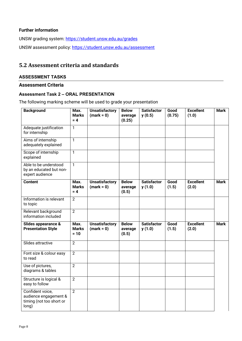#### **Further information**

UNSW grading system:<https://student.unsw.edu.au/grades> UNSW assessment policy:<https://student.unsw.edu.au/assessment>

#### <span id="page-7-0"></span>**5.2 Assessment criteria and standards**

#### **ASSESSMENT TASKS**

#### **Assessment Criteria**

#### **Assessment Task 2 – ORAL PRESENTATION**

The following marking scheme will be used to grade your presentation

| <b>Background</b>                                                              | Max.<br><b>Marks</b><br>$= 4$  | <b>Unsatisfactory</b><br>$(mark = 0)$ | <b>Below</b><br>average<br>(0.25) | <b>Satisfactor</b><br>y(0.5) | Good<br>(0.75) | <b>Excellent</b><br>(1.0) | <b>Mark</b> |
|--------------------------------------------------------------------------------|--------------------------------|---------------------------------------|-----------------------------------|------------------------------|----------------|---------------------------|-------------|
| Adequate justification<br>for internship                                       | $\mathbf{1}$                   |                                       |                                   |                              |                |                           |             |
| Aims of internship<br>adequately explained                                     | $\overline{1}$                 |                                       |                                   |                              |                |                           |             |
| Scope of internship<br>explained                                               | $\overline{1}$                 |                                       |                                   |                              |                |                           |             |
| Able to be understood<br>by an educated but non-<br>expert audience            | $\mathbf{1}$                   |                                       |                                   |                              |                |                           |             |
| <b>Content</b>                                                                 | Max.<br><b>Marks</b><br>$= 4$  | <b>Unsatisfactory</b><br>$(maxk = 0)$ | <b>Below</b><br>average<br>(0.5)  | <b>Satisfactor</b><br>y(1.0) | Good<br>(1.5)  | <b>Excellent</b><br>(2.0) | <b>Mark</b> |
| Information is relevant<br>to topic                                            | $\overline{2}$                 |                                       |                                   |                              |                |                           |             |
| Relevant background<br>information included                                    | $\overline{2}$                 |                                       |                                   |                              |                |                           |             |
| Slides appearance &<br><b>Presentation Style</b>                               | Max.<br><b>Marks</b><br>$= 10$ | <b>Unsatisfactory</b><br>$(maxk = 0)$ | <b>Below</b><br>average<br>(0.5)  | <b>Satisfactor</b><br>y(1.0) | Good<br>(1.5)  | <b>Excellent</b><br>(2.0) | <b>Mark</b> |
| Slides attractive                                                              | $\overline{2}$                 |                                       |                                   |                              |                |                           |             |
| Font size & colour easy<br>to read                                             | $\overline{2}$                 |                                       |                                   |                              |                |                           |             |
| Use of pictures,<br>diagrams & tables                                          | $\overline{2}$                 |                                       |                                   |                              |                |                           |             |
| Structure is logical &<br>easy to follow                                       | $\overline{2}$                 |                                       |                                   |                              |                |                           |             |
| Confident voice,<br>audience engagement &<br>timing (not too short or<br>long) | $\overline{2}$                 |                                       |                                   |                              |                |                           |             |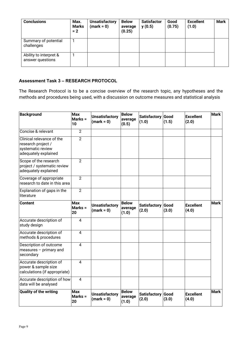| <b>Conclusions</b>                         | Max.<br><b>Marks</b><br>$= 2$ | <b>Unsatisfactory</b><br>$(maxk = 0)$ | <b>Below</b><br>average<br>(0.25) | <b>Satisfactor</b><br>y(0.5) | Good<br>(0.75) | <b>Excellent</b><br>(1.0) | <b>Mark</b> |
|--------------------------------------------|-------------------------------|---------------------------------------|-----------------------------------|------------------------------|----------------|---------------------------|-------------|
| Summary of potential<br>challenges         |                               |                                       |                                   |                              |                |                           |             |
| Ability to interpret &<br>answer questions |                               |                                       |                                   |                              |                |                           |             |

#### **Assessment Task 3 – RESEARCH PROTOCOL**

The Research Protocol is to be a concise overview of the research topic, any hypotheses and the methods and procedures being used, with a discussion on outcome measures and statistical analysis

| <b>Background</b>                                                                            | <b>Max</b><br>Marks =<br>10 | <b>Unsatisfactory</b><br>$(maxk = 0)$ | <b>Below</b><br>average<br>(0.5) | Satisfactory Good<br>(1.0) | (1.5) | <b>Excellent</b><br>(2.0) | <b>Mark</b> |
|----------------------------------------------------------------------------------------------|-----------------------------|---------------------------------------|----------------------------------|----------------------------|-------|---------------------------|-------------|
| Concise & relevant                                                                           | $\overline{2}$              |                                       |                                  |                            |       |                           |             |
| Clinical relevance of the<br>research project /<br>systematic review<br>adequately explained | $\overline{2}$              |                                       |                                  |                            |       |                           |             |
| Scope of the research<br>project / systematic review<br>adequately explained                 | $\overline{2}$              |                                       |                                  |                            |       |                           |             |
| Coverage of appropriate<br>research to date in this area                                     | $\overline{2}$              |                                       |                                  |                            |       |                           |             |
| Explanation of gaps in the<br>literature                                                     | $\overline{2}$              |                                       |                                  |                            |       |                           |             |
| <b>Content</b>                                                                               | <b>Max</b><br>Marks =<br>20 | <b>Unsatisfactory</b><br>$(maxk = 0)$ | <b>Below</b><br>average<br>(1.0) | Satisfactory Good<br>(2.0) | (3.0) | <b>Excellent</b><br>(4.0) | <b>Mark</b> |
| Accurate description of<br>study design                                                      | $\overline{4}$              |                                       |                                  |                            |       |                           |             |
| Accurate description of<br>methods & procedures                                              | $\overline{4}$              |                                       |                                  |                            |       |                           |             |
| Description of outcome<br>measures $-$ primary and<br>secondary                              | 4                           |                                       |                                  |                            |       |                           |             |
| Accurate description of<br>power & sample size<br>calculations (if appropriate)              | $\overline{4}$              |                                       |                                  |                            |       |                           |             |
| Accurate description of how<br>data will be analysed                                         | $\overline{4}$              |                                       |                                  |                            |       |                           |             |
| Quality of the writing                                                                       | <b>Max</b><br>Marks =<br>20 | <b>Unsatisfactory</b><br>$(maxk = 0)$ | <b>Below</b><br>average<br>(1.0) | Satisfactory Good<br>(2.0) | (3.0) | <b>Excellent</b><br>(4.0) | <b>Mark</b> |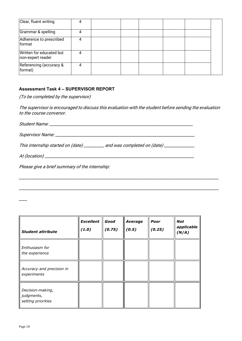| Clear, fluent writing                         |   |  |  |  |
|-----------------------------------------------|---|--|--|--|
| Grammar & spelling                            | 4 |  |  |  |
| Adherence to prescribed<br>format             | 4 |  |  |  |
| Written for educated but<br>non-expert reader |   |  |  |  |
| Referencing (accuracy &<br>format)            | 4 |  |  |  |

#### **Assessment Task 4 – SUPERVISOR REPORT**

(To be completed by the supervisor)

The supervisor is encouraged to discuss this evaluation with the student before sending the evaluation to the course convenor.

\_\_\_\_\_\_\_\_\_\_\_\_\_\_\_\_\_\_\_\_\_\_\_\_\_\_\_\_\_\_\_\_\_\_\_\_\_\_\_\_\_\_\_\_\_\_\_\_\_\_\_\_\_\_\_\_\_\_\_\_\_\_\_\_\_\_\_\_\_\_\_\_\_\_\_\_\_\_\_\_\_\_\_\_\_\_\_\_\_\_\_\_\_\_\_\_\_\_\_

| This internship started on (date) _________ | and was completed on (date) _____________ |
|---------------------------------------------|-------------------------------------------|
| At (location) __                            |                                           |

Please give a brief summary of the internship:

| <b>Student attribute</b>                             | <b>Excellent</b><br>(1.0) | Good<br>(0.75) | <b>Average</b><br>(0.5) | Poor<br>(0.25) | <b>Not</b><br>applicable<br>(N/A) |
|------------------------------------------------------|---------------------------|----------------|-------------------------|----------------|-----------------------------------|
| Enthusiasm for<br>the experience                     |                           |                |                         |                |                                   |
| Accuracy and precision in<br>experiments             |                           |                |                         |                |                                   |
| Decision-making,<br>judgments,<br>setting priorities |                           |                |                         |                |                                   |

\_\_\_\_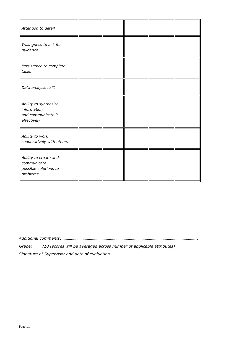| Attention to detail                                                       |  |  |  |
|---------------------------------------------------------------------------|--|--|--|
| Willingness to ask for<br>guidance                                        |  |  |  |
| Persistence to complete<br>tasks                                          |  |  |  |
| Data analysis skills                                                      |  |  |  |
| Ability to synthesize<br>information<br>and communicate it<br>effectively |  |  |  |
| Ability to work<br>cooperatively with others                              |  |  |  |
| Ability to create and<br>communicate<br>possible solutions to<br>problems |  |  |  |

*Additional comments: ……………………………………………………………………………………………………………….. Grade: /10 (scores will be averaged across number of applicable attributes) Signature of Supervisor and date of evaluation: ………………………………………………………………………*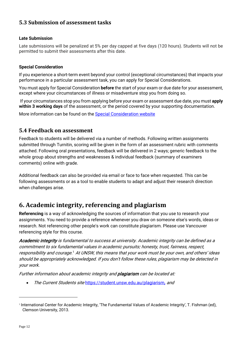## <span id="page-11-0"></span>**5.3 Submission of assessment tasks**

#### **Late Submission**

Late submissions will be penalized at 5% per day capped at five days (120 hours). Students will not be permitted to submit their assessments after this date.

#### **Special Consideration**

If you experience a short-term event beyond your control (exceptional circumstances) that impacts your performance in a particular assessment task, you can apply for Special Considerations.

You must apply for Special Consideration **before** the start of your exam or due date for your assessment, except where your circumstances of illness or misadventure stop you from doing so.

If your circumstances stop you from applying before your exam or assessment due date, you must **apply within 3 working days** of the assessment, or the period covered by your supporting documentation.

More information can be found on the [Special Consideration website](https://www.student.unsw.edu.au/special-consideration)

#### <span id="page-11-1"></span>**5.4 Feedback on assessment**

Feedback to students will be delivered via a number of methods. Following written assignments submitted through Turnitin, scoring will be given in the form of an assessment rubric with comments attached. Following oral presentations, feedback will be delivered in 2 ways; generic feedback to the whole group about strengths and weaknesses & individual feedback (summary of examiners comments) online with grade.

Additional feedback can also be provided via email or face to face when requested. This can be following assessments or as a tool to enable students to adapt and adjust their research direction when challenges arise.

## <span id="page-11-2"></span>**6. Academic integrity, referencing and plagiarism**

**Referencing** is a way of acknowledging the sources of information that you use to research your assignments. You need to provide a reference whenever you draw on someone else's words, ideas or research. Not referencing other people's work can constitute plagiarism. Please use Vancouver referencing style for this course.

Academic integrity is fundamental to success at university. Academic integrity can be defined as a commitment to six fundamental values in academic pursuits: honesty, trust, fairness, respect, responsibility and courage. $1$  At UNSW, this means that your work must be your own, and others' ideas should be appropriately acknowledged. If you don't follow these rules, plagiarism may be detected in your work.

Further information about academic integrity and **plagiarism** can be located at:

• The Current Students site <https://student.unsw.edu.au/plagiarism>, and

<span id="page-11-3"></span><sup>1</sup> International Center for Academic Integrity, 'The Fundamental Values of Academic Integrity', T. Fishman (ed), Clemson University, 2013.